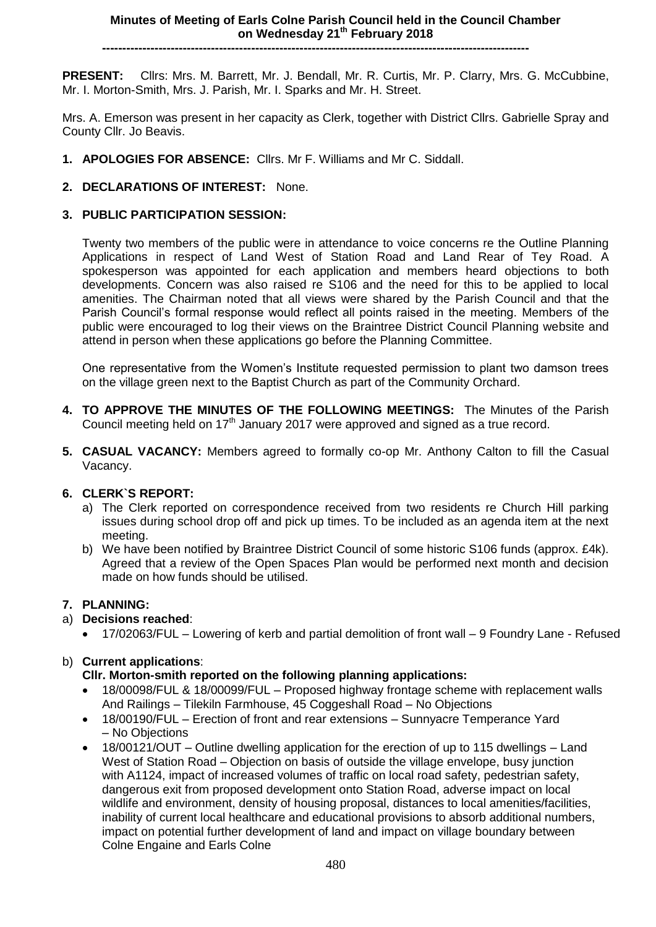# **----------------------------------------------------------------------------------------------------------**

**PRESENT:** Cllrs: Mrs. M. Barrett, Mr. J. Bendall, Mr. R. Curtis, Mr. P. Clarry, Mrs. G. McCubbine, Mr. I. Morton-Smith, Mrs. J. Parish, Mr. I. Sparks and Mr. H. Street.

Mrs. A. Emerson was present in her capacity as Clerk, together with District Cllrs. Gabrielle Spray and County Cllr. Jo Beavis.

- **1. APOLOGIES FOR ABSENCE:** Cllrs. Mr F. Williams and Mr C. Siddall.
- **2. DECLARATIONS OF INTEREST:** None.

## **3. PUBLIC PARTICIPATION SESSION:**

Twenty two members of the public were in attendance to voice concerns re the Outline Planning Applications in respect of Land West of Station Road and Land Rear of Tey Road. A spokesperson was appointed for each application and members heard objections to both developments. Concern was also raised re S106 and the need for this to be applied to local amenities. The Chairman noted that all views were shared by the Parish Council and that the Parish Council's formal response would reflect all points raised in the meeting. Members of the public were encouraged to log their views on the Braintree District Council Planning website and attend in person when these applications go before the Planning Committee.

One representative from the Women's Institute requested permission to plant two damson trees on the village green next to the Baptist Church as part of the Community Orchard.

- **4. TO APPROVE THE MINUTES OF THE FOLLOWING MEETINGS:** The Minutes of the Parish Council meeting held on  $17<sup>th</sup>$  January 2017 were approved and signed as a true record.
- **5. CASUAL VACANCY:** Members agreed to formally co-op Mr. Anthony Calton to fill the Casual Vacancy.

## **6. CLERK`S REPORT:**

- a) The Clerk reported on correspondence received from two residents re Church Hill parking issues during school drop off and pick up times. To be included as an agenda item at the next meeting.
- b) We have been notified by Braintree District Council of some historic S106 funds (approx. £4k). Agreed that a review of the Open Spaces Plan would be performed next month and decision made on how funds should be utilised.

## **7. PLANNING:**

## a) **Decisions reached**:

17/02063/FUL – Lowering of kerb and partial demolition of front wall – 9 Foundry Lane - Refused

## b) **Current applications**:

## **Cllr. Morton-smith reported on the following planning applications:**

- 18/00098/FUL & 18/00099/FUL Proposed highway frontage scheme with replacement walls And Railings – Tilekiln Farmhouse, 45 Coggeshall Road – No Objections
- 18/00190/FUL Erection of front and rear extensions Sunnyacre Temperance Yard – No Objections
- 18/00121/OUT Outline dwelling application for the erection of up to 115 dwellings Land West of Station Road – Objection on basis of outside the village envelope, busy junction with A1124, impact of increased volumes of traffic on local road safety, pedestrian safety, dangerous exit from proposed development onto Station Road, adverse impact on local wildlife and environment, density of housing proposal, distances to local amenities/facilities, inability of current local healthcare and educational provisions to absorb additional numbers, impact on potential further development of land and impact on village boundary between Colne Engaine and Earls Colne